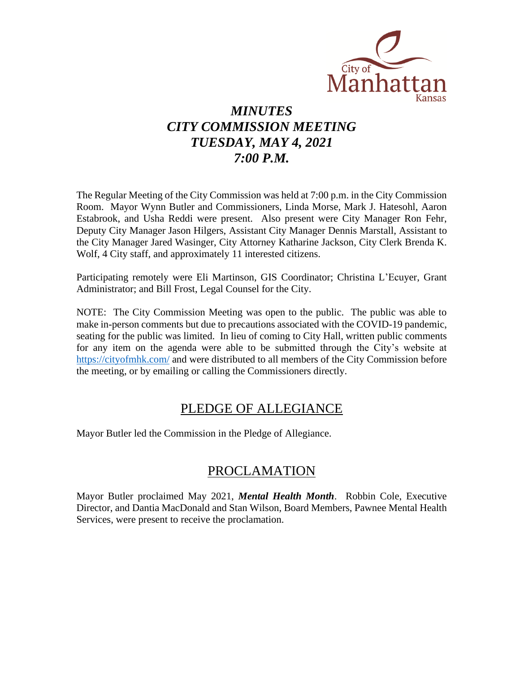

# *MINUTES CITY COMMISSION MEETING TUESDAY, MAY 4, 2021 7:00 P.M.*

The Regular Meeting of the City Commission was held at 7:00 p.m. in the City Commission Room. Mayor Wynn Butler and Commissioners, Linda Morse, Mark J. Hatesohl, Aaron Estabrook, and Usha Reddi were present. Also present were City Manager Ron Fehr, Deputy City Manager Jason Hilgers, Assistant City Manager Dennis Marstall, Assistant to the City Manager Jared Wasinger, City Attorney Katharine Jackson, City Clerk Brenda K. Wolf, 4 City staff, and approximately 11 interested citizens.

Participating remotely were Eli Martinson, GIS Coordinator; Christina L'Ecuyer, Grant Administrator; and Bill Frost, Legal Counsel for the City.

NOTE: The City Commission Meeting was open to the public. The public was able to make in-person comments but due to precautions associated with the COVID-19 pandemic, seating for the public was limited. In lieu of coming to City Hall, written public comments for any item on the agenda were able to be submitted through the City's website at [https://cityofmhk.com/](https://cityofmhk.com/and) and were distributed to all members of the City Commission before the meeting, or by emailing or calling the Commissioners directly.

### PLEDGE OF ALLEGIANCE

Mayor Butler led the Commission in the Pledge of Allegiance.

### PROCLAMATION

Mayor Butler proclaimed May 2021, *Mental Health Month*. Robbin Cole, Executive Director, and Dantia MacDonald and Stan Wilson, Board Members, Pawnee Mental Health Services, were present to receive the proclamation.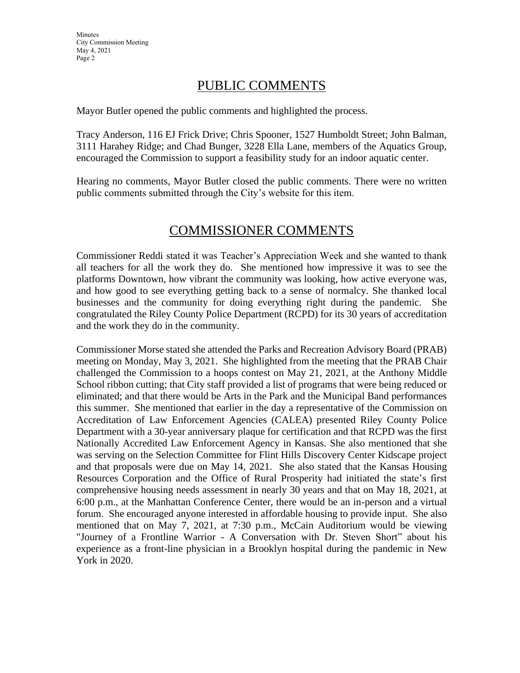## PUBLIC COMMENTS

Mayor Butler opened the public comments and highlighted the process.

Tracy Anderson, 116 EJ Frick Drive; Chris Spooner, 1527 Humboldt Street; John Balman, 3111 Harahey Ridge; and Chad Bunger, 3228 Ella Lane, members of the Aquatics Group, encouraged the Commission to support a feasibility study for an indoor aquatic center.

Hearing no comments, Mayor Butler closed the public comments. There were no written public comments submitted through the City's website for this item.

## COMMISSIONER COMMENTS

Commissioner Reddi stated it was Teacher's Appreciation Week and she wanted to thank all teachers for all the work they do. She mentioned how impressive it was to see the platforms Downtown, how vibrant the community was looking, how active everyone was, and how good to see everything getting back to a sense of normalcy. She thanked local businesses and the community for doing everything right during the pandemic. She congratulated the Riley County Police Department (RCPD) for its 30 years of accreditation and the work they do in the community.

Commissioner Morse stated she attended the Parks and Recreation Advisory Board (PRAB) meeting on Monday, May 3, 2021. She highlighted from the meeting that the PRAB Chair challenged the Commission to a hoops contest on May 21, 2021, at the Anthony Middle School ribbon cutting; that City staff provided a list of programs that were being reduced or eliminated; and that there would be Arts in the Park and the Municipal Band performances this summer. She mentioned that earlier in the day a representative of the Commission on Accreditation of Law Enforcement Agencies (CALEA) presented Riley County Police Department with a 30-year anniversary plaque for certification and that RCPD was the first Nationally Accredited Law Enforcement Agency in Kansas. She also mentioned that she was serving on the Selection Committee for Flint Hills Discovery Center Kidscape project and that proposals were due on May 14, 2021. She also stated that the Kansas Housing Resources Corporation and the Office of Rural Prosperity had initiated the state's first comprehensive housing needs assessment in nearly 30 years and that on May 18, 2021, at 6:00 p.m., at the Manhattan Conference Center, there would be an in-person and a virtual forum. She encouraged anyone interested in affordable housing to provide input. She also mentioned that on May 7, 2021, at 7:30 p.m., McCain Auditorium would be viewing "Journey of a Frontline Warrior - A Conversation with Dr. Steven Short" about his experience as a front-line physician in a Brooklyn hospital during the pandemic in New York in 2020.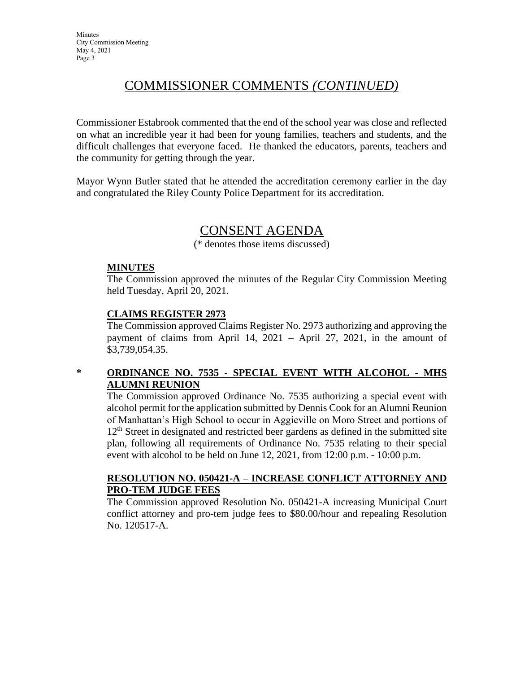# COMMISSIONER COMMENTS *(CONTINUED)*

Commissioner Estabrook commented that the end of the school year was close and reflected on what an incredible year it had been for young families, teachers and students, and the difficult challenges that everyone faced. He thanked the educators, parents, teachers and the community for getting through the year.

Mayor Wynn Butler stated that he attended the accreditation ceremony earlier in the day and congratulated the Riley County Police Department for its accreditation.

### CONSENT AGENDA

(\* denotes those items discussed)

### **MINUTES**

The Commission approved the minutes of the Regular City Commission Meeting held Tuesday, April 20, 2021.

### **CLAIMS REGISTER 2973**

The Commission approved Claims Register No. 2973 authorizing and approving the payment of claims from April 14, 2021 – April 27, 2021, in the amount of \$3,739,054.35.

### **\* ORDINANCE NO. 7535 - SPECIAL EVENT WITH ALCOHOL - MHS ALUMNI REUNION**

The Commission approved Ordinance No. 7535 authorizing a special event with alcohol permit for the application submitted by Dennis Cook for an Alumni Reunion of Manhattan's High School to occur in Aggieville on Moro Street and portions of  $12<sup>th</sup>$  Street in designated and restricted beer gardens as defined in the submitted site plan, following all requirements of Ordinance No. 7535 relating to their special event with alcohol to be held on June 12, 2021, from 12:00 p.m. - 10:00 p.m.

#### **RESOLUTION NO. 050421-A – INCREASE CONFLICT ATTORNEY AND PRO-TEM JUDGE FEES**

The Commission approved Resolution No. 050421-A increasing Municipal Court conflict attorney and pro-tem judge fees to \$80.00/hour and repealing Resolution No. 120517-A.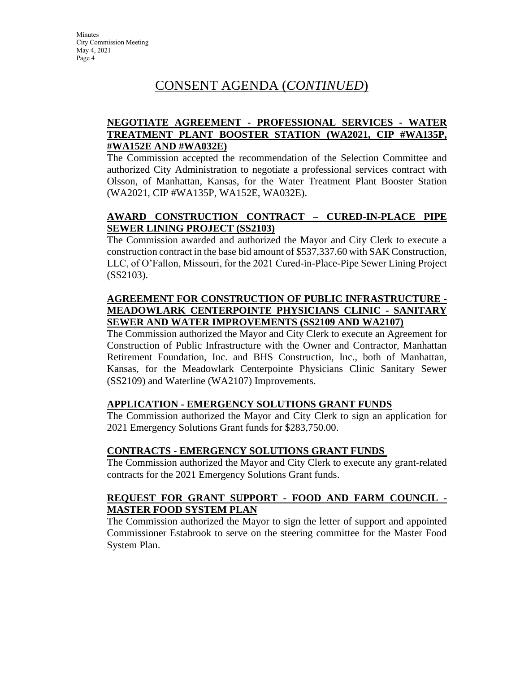# CONSENT AGENDA (*CONTINUED*)

### **NEGOTIATE AGREEMENT - PROFESSIONAL SERVICES - WATER TREATMENT PLANT BOOSTER STATION (WA2021, CIP #WA135P, #WA152E AND #WA032E)**

The Commission accepted the recommendation of the Selection Committee and authorized City Administration to negotiate a professional services contract with Olsson, of Manhattan, Kansas, for the Water Treatment Plant Booster Station (WA2021, CIP #WA135P, WA152E, WA032E).

### **AWARD CONSTRUCTION CONTRACT – CURED-IN-PLACE PIPE SEWER LINING PROJECT (SS2103)**

The Commission awarded and authorized the Mayor and City Clerk to execute a construction contract in the base bid amount of \$537,337.60 with SAK Construction, LLC, of O'Fallon, Missouri, for the 2021 Cured-in-Place-Pipe Sewer Lining Project (SS2103).

### **AGREEMENT FOR CONSTRUCTION OF PUBLIC INFRASTRUCTURE - MEADOWLARK CENTERPOINTE PHYSICIANS CLINIC - SANITARY SEWER AND WATER IMPROVEMENTS (SS2109 AND WA2107)**

The Commission authorized the Mayor and City Clerk to execute an Agreement for Construction of Public Infrastructure with the Owner and Contractor, Manhattan Retirement Foundation, Inc. and BHS Construction, Inc., both of Manhattan, Kansas, for the Meadowlark Centerpointe Physicians Clinic Sanitary Sewer (SS2109) and Waterline (WA2107) Improvements.

### **APPLICATION - EMERGENCY SOLUTIONS GRANT FUNDS**

The Commission authorized the Mayor and City Clerk to sign an application for 2021 Emergency Solutions Grant funds for \$283,750.00.

### **CONTRACTS - EMERGENCY SOLUTIONS GRANT FUNDS**

The Commission authorized the Mayor and City Clerk to execute any grant-related contracts for the 2021 Emergency Solutions Grant funds.

### **REQUEST FOR GRANT SUPPORT - FOOD AND FARM COUNCIL - MASTER FOOD SYSTEM PLAN**

The Commission authorized the Mayor to sign the letter of support and appointed Commissioner Estabrook to serve on the steering committee for the Master Food System Plan.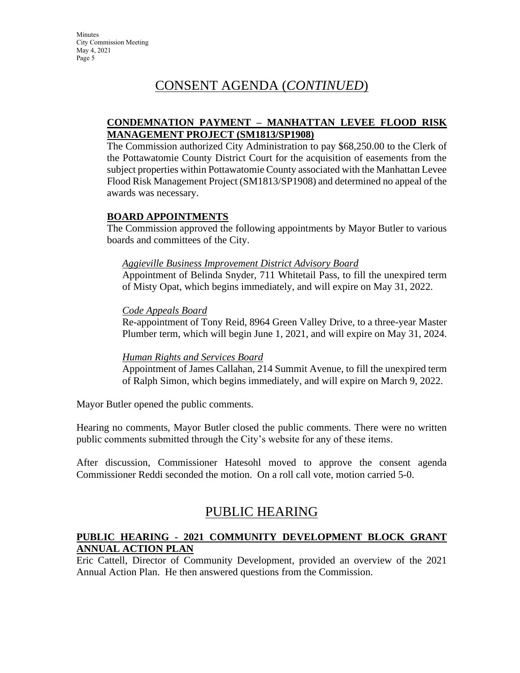# CONSENT AGENDA (*CONTINUED*)

### **CONDEMNATION PAYMENT – MANHATTAN LEVEE FLOOD RISK MANAGEMENT PROJECT (SM1813/SP1908)**

The Commission authorized City Administration to pay \$68,250.00 to the Clerk of the Pottawatomie County District Court for the acquisition of easements from the subject properties within Pottawatomie County associated with the Manhattan Levee Flood Risk Management Project (SM1813/SP1908) and determined no appeal of the awards was necessary.

#### **BOARD APPOINTMENTS**

The Commission approved the following appointments by Mayor Butler to various boards and committees of the City.

#### *Aggieville Business Improvement District Advisory Board*

Appointment of Belinda Snyder, 711 Whitetail Pass, to fill the unexpired term of Misty Opat, which begins immediately, and will expire on May 31, 2022.

#### *Code Appeals Board*

Re-appointment of Tony Reid, 8964 Green Valley Drive, to a three-year Master Plumber term, which will begin June 1, 2021, and will expire on May 31, 2024.

#### *Human Rights and Services Board*

Appointment of James Callahan, 214 Summit Avenue, to fill the unexpired term of Ralph Simon, which begins immediately, and will expire on March 9, 2022.

Mayor Butler opened the public comments.

Hearing no comments, Mayor Butler closed the public comments. There were no written public comments submitted through the City's website for any of these items.

After discussion, Commissioner Hatesohl moved to approve the consent agenda Commissioner Reddi seconded the motion. On a roll call vote, motion carried 5-0.

### PUBLIC HEARING

### **PUBLIC HEARING - 2021 COMMUNITY DEVELOPMENT BLOCK GRANT ANNUAL ACTION PLAN**

Eric Cattell, Director of Community Development, provided an overview of the 2021 Annual Action Plan. He then answered questions from the Commission.